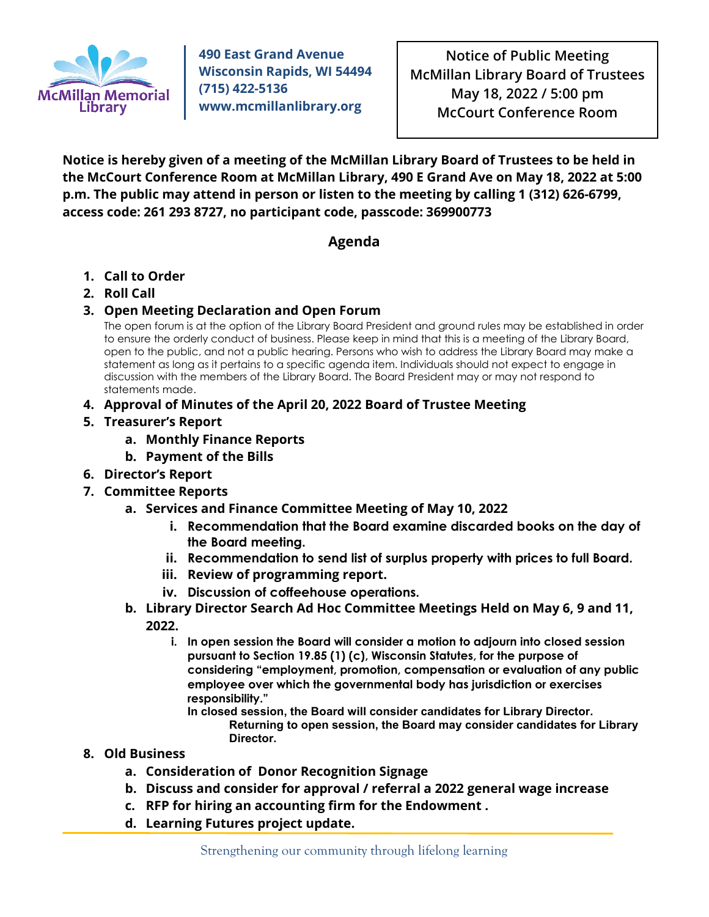

**490 East Grand Avenue Wisconsin Rapids, WI 54494 (715) 422-5136 www.mcmillanlibrary.org**

**Notice of Public Meeting McMillan Library Board of Trustees May 18, 2022 / 5:00 pm McCourt Conference Room**

**Notice is hereby given of a meeting of the McMillan Library Board of Trustees to be held in the McCourt Conference Room at McMillan Library, 490 E Grand Ave on May 18, 2022 at 5:00 p.m. The public may attend in person or listen to the meeting by calling 1 (312) 626-6799, access code: 261 293 8727, no participant code, passcode: 369900773**

## **Agenda**

- **1. Call to Order**
- **2. Roll Call**
- **3. Open Meeting Declaration and Open Forum**

The open forum is at the option of the Library Board President and ground rules may be established in order to ensure the orderly conduct of business. Please keep in mind that this is a meeting of the Library Board, open to the public, and not a public hearing. Persons who wish to address the Library Board may make a statement as long as it pertains to a specific agenda item. Individuals should not expect to engage in discussion with the members of the Library Board. The Board President may or may not respond to statements made.

- **4. Approval of Minutes of the April 20, 2022 Board of Trustee Meeting**
- **5. Treasurer's Report**
	- **a. Monthly Finance Reports**
	- **b. Payment of the Bills**
- **6. Director's Report**
- **7. Committee Reports**
	- **a. Services and Finance Committee Meeting of May 10, 2022**
		- **i. Recommendation that the Board examine discarded books on the day of the Board meeting.**
		- **ii. Recommendation to send list of surplus property with prices to full Board.**
		- **iii. Review of programming report.**
		- **iv. Discussion of coffeehouse operations.**
	- **b. Library Director Search Ad Hoc Committee Meetings Held on May 6, 9 and 11, 2022.**
		- **i. In open session the Board will consider a motion to adjourn into closed session pursuant to Section 19.85 (1) (c), Wisconsin Statutes, for the purpose of considering "employment, promotion, compensation or evaluation of any public employee over which the governmental body has jurisdiction or exercises responsibility."**

**In closed session, the Board will consider candidates for Library Director. Returning to open session, the Board may consider candidates for Library Director.**

## **8. Old Business**

- **a. Consideration of Donor Recognition Signage**
- **b. Discuss and consider for approval / referral a 2022 general wage increase**
- **c. RFP for hiring an accounting firm for the Endowment .**
- **d. Learning Futures project update.**